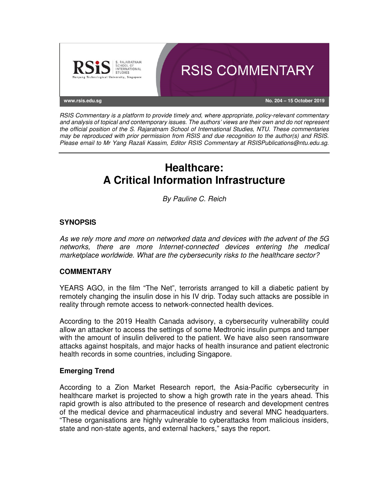

RSIS Commentary is a platform to provide timely and, where appropriate, policy-relevant commentary and analysis of topical and contemporary issues. The authors' views are their own and do not represent the official position of the S. Rajaratnam School of International Studies, NTU. These commentaries may be reproduced with prior permission from RSIS and due recognition to the author(s) and RSIS. Please email to Mr Yang Razali Kassim, Editor RSIS Commentary at RSISPublications@ntu.edu.sg.

# **Healthcare: A Critical Information Infrastructure**

By Pauline C. Reich

# **SYNOPSIS**

As we rely more and more on networked data and devices with the advent of the 5G networks, there are more Internet-connected devices entering the medical marketplace worldwide. What are the cybersecurity risks to the healthcare sector?

# **COMMENTARY**

YEARS AGO, in the film "The Net", terrorists arranged to kill a diabetic patient by remotely changing the insulin dose in his IV drip. Today such attacks are possible in reality through remote access to network-connected health devices.

According to the 2019 Health Canada advisory, a cybersecurity vulnerability could allow an attacker to access the settings of some Medtronic insulin pumps and tamper with the amount of insulin delivered to the patient. We have also seen ransomware attacks against hospitals, and major hacks of health insurance and patient electronic health records in some countries, including Singapore.

# **Emerging Trend**

According to a Zion Market Research report, the Asia-Pacific cybersecurity in healthcare market is projected to show a high growth rate in the years ahead. This rapid growth is also attributed to the presence of research and development centres of the medical device and pharmaceutical industry and several MNC headquarters. "These organisations are highly vulnerable to cyberattacks from malicious insiders, state and non-state agents, and external hackers," says the report.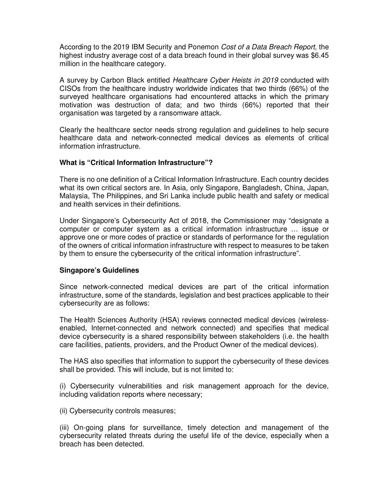According to the 2019 IBM Security and Ponemon Cost of a Data Breach Report, the highest industry average cost of a data breach found in their global survey was \$6.45 million in the healthcare category.

A survey by Carbon Black entitled Healthcare Cyber Heists in 2019 conducted with CISOs from the healthcare industry worldwide indicates that two thirds (66%) of the surveyed healthcare organisations had encountered attacks in which the primary motivation was destruction of data; and two thirds (66%) reported that their organisation was targeted by a ransomware attack.

Clearly the healthcare sector needs strong regulation and guidelines to help secure healthcare data and network-connected medical devices as elements of critical information infrastructure.

### **What is "Critical Information Infrastructure"?**

There is no one definition of a Critical Information Infrastructure. Each country decides what its own critical sectors are. In Asia, only Singapore, Bangladesh, China, Japan, Malaysia, The Philippines, and Sri Lanka include public health and safety or medical and health services in their definitions.

Under Singapore's Cybersecurity Act of 2018, the Commissioner may "designate a computer or computer system as a critical information infrastructure … issue or approve one or more codes of practice or standards of performance for the regulation of the owners of critical information infrastructure with respect to measures to be taken by them to ensure the cybersecurity of the critical information infrastructure".

# **Singapore's Guidelines**

Since network-connected medical devices are part of the critical information infrastructure, some of the standards, legislation and best practices applicable to their cybersecurity are as follows:

The Health Sciences Authority (HSA) reviews connected medical devices (wirelessenabled, Internet-connected and network connected) and specifies that medical device cybersecurity is a shared responsibility between stakeholders (i.e. the health care facilities, patients, providers, and the Product Owner of the medical devices).

The HAS also specifies that information to support the cybersecurity of these devices shall be provided. This will include, but is not limited to:

(i) Cybersecurity vulnerabilities and risk management approach for the device, including validation reports where necessary;

(ii) Cybersecurity controls measures;

(iii) On-going plans for surveillance, timely detection and management of the cybersecurity related threats during the useful life of the device, especially when a breach has been detected.